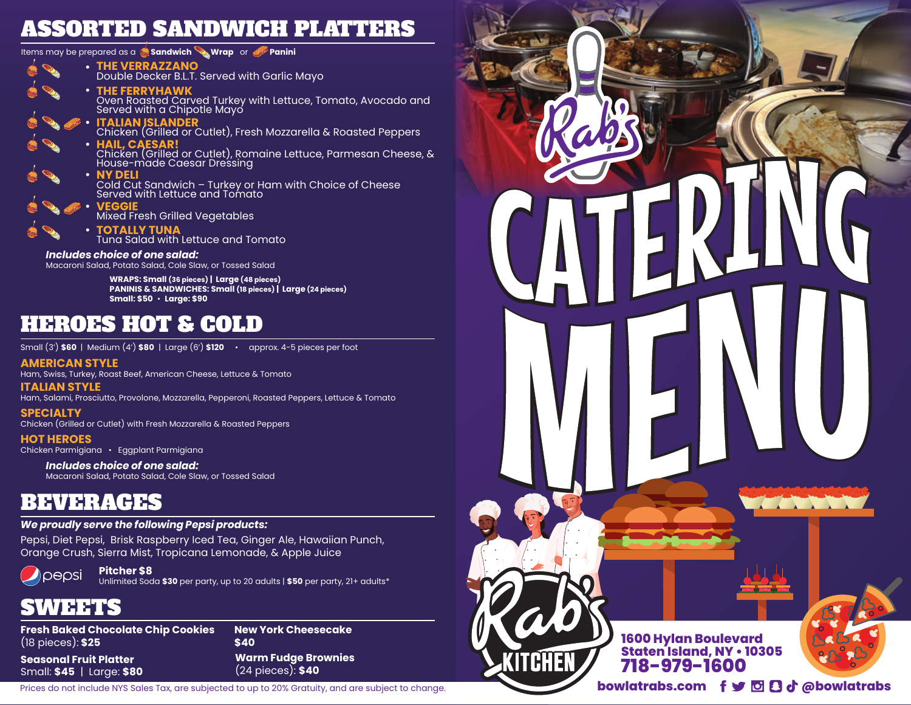# ASSORTED SANDWICH PLATTERS

Items may be prepared as a **Sandwich Wrap** or **Panini**

**THE VERRAZZANO** Double Decker B.L.T. Served with Garlic Mayo **• THE FERRYHAWK** Oven Roasted Carved Turkey with Lettuce, Tomato, Avocado and Served with a Chipotle Mayo **• ITALIAN ISLANDER** Chicken (Grilled or Cutlet), Fresh Mozzarella & Roasted Peppers **• HAIL, CAESAR!**<br>Chicken (Grilled or Cutlet), Romaine Lettuce, Parmesan Cheese, & House-made Caesar Dressing **• NY DELI** Cold Cut Sandwich – Turkey or Ham with Choice of Cheese Served with Lettuce and Tomato **•** *Includes choice of one salad:* Macaroni Salad, Potato Salad, Cole Slaw, or Tossed Salad **WRAPS: Small (36 pieces) | Large (48 pieces) PANINIS & SANDWICHES: Small (18 pieces) | Large (24 pieces) Small: \$50** • **Large: \$90 VEGGIE** Mixed Fresh Grilled Vegetables **• TOTALLY TUNA** Tuna Salad with Lettuce and Tomato **•**

# HEROES HOT & COLD

Small (3') **\$60** | Medium (4') **\$80** | Large (6') **\$120** • approx. 4-5 pieces per foot

### **AMERICAN STYLE**

Ham, Swiss, Turkey, Roast Beef, American Cheese, Lettuce & Tomato

### **ITALIAN STYLE**

Ham, Salami, Prosciutto, Provolone, Mozzarella, Pepperoni, Roasted Peppers, Lettuce & Tomato

**SPECIALTY**

Chicken (Grilled or Cutlet) with Fresh Mozzarella & Roasted Peppers

**HOT HEROES** Chicken Parmigiana • Eggplant Parmigiana

> *Includes choice of one salad:* Macaroni Salad, Potato Salad, Cole Slaw, or Tossed Salad

# BEVERAGES

## *We proudly serve the following Pepsi products:*

Pepsi, Diet Pepsi, Brisk Raspberry Iced Tea, Ginger Ale, Hawaiian Punch, Orange Crush, Sierra Mist, Tropicana Lemonade, & Apple Juice



**Pitcher \$8**

Unlimited Soda **\$30** per party, up to 20 adults | **\$50** per party, 21+ adults\*

# SWEETS

**Fresh Baked Chocolate Chip Cookies** (18 pieces): **\$25**

**Seasonal Fruit Platter** Small: **\$45** | Large: **\$80** **New York Cheesecake \$40 Warm Fudge Brownies** (24 pieces): **\$40**

Prices do not include NYS Sales Tax, are subjected to up to 20% Gratuity, and are subject to change.